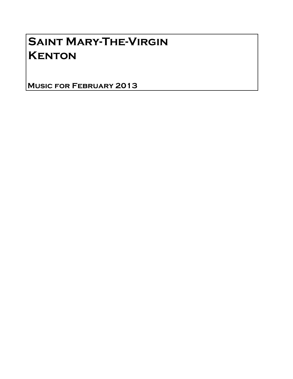# Saint Mary-The-Virgin **KENTON**

Music for February 2013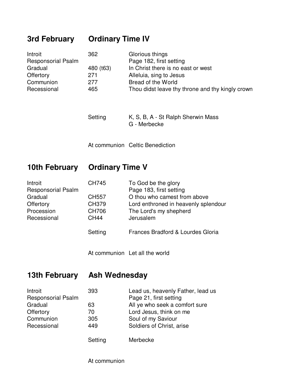### **3rd February Ordinary Time IV**

| Introit                   | 362       | Glorious things                                  |
|---------------------------|-----------|--------------------------------------------------|
| <b>Responsorial Psalm</b> |           | Page 182, first setting                          |
| Gradual                   | 480 (t63) | In Christ there is no east or west               |
| Offertory                 | 271       | Alleluia, sing to Jesus                          |
| Communion                 | 277       | Bread of the World                               |
| Recessional               | 465       | Thou didst leave thy throne and thy kingly crown |

Setting K, S, B, A - St Ralph Sherwin Mass G - Merbecke

At communion Celtic Benediction

#### **10th February Ordinary Time V**

| Introit                   | <b>CH745</b> | To God be the glory                  |
|---------------------------|--------------|--------------------------------------|
| <b>Responsorial Psalm</b> |              | Page 183, first setting              |
| Gradual                   | <b>CH557</b> | O thou who camest from above         |
| Offertory                 | CH379        | Lord enthroned in heavenly splendour |
| Procession                | <b>CH706</b> | The Lord's my shepherd               |
| Recessional               | <b>CH44</b>  | Jerusalem                            |
|                           | Setting      | Frances Bradford & Lourdes Gloria    |

At communion Let all the world

#### **13th February Ash Wednesday**

| Introit                   | 393     | Lead us, heavenly Father, lead us |
|---------------------------|---------|-----------------------------------|
| <b>Responsorial Psalm</b> |         | Page 21, first setting            |
| Gradual                   | 63      | All ye who seek a comfort sure    |
| Offertory                 | 70      | Lord Jesus, think on me           |
| Communion                 | 305     | Soul of my Saviour                |
| Recessional               | 449     | Soldiers of Christ, arise         |
|                           | Setting | Merbecke                          |

At communion